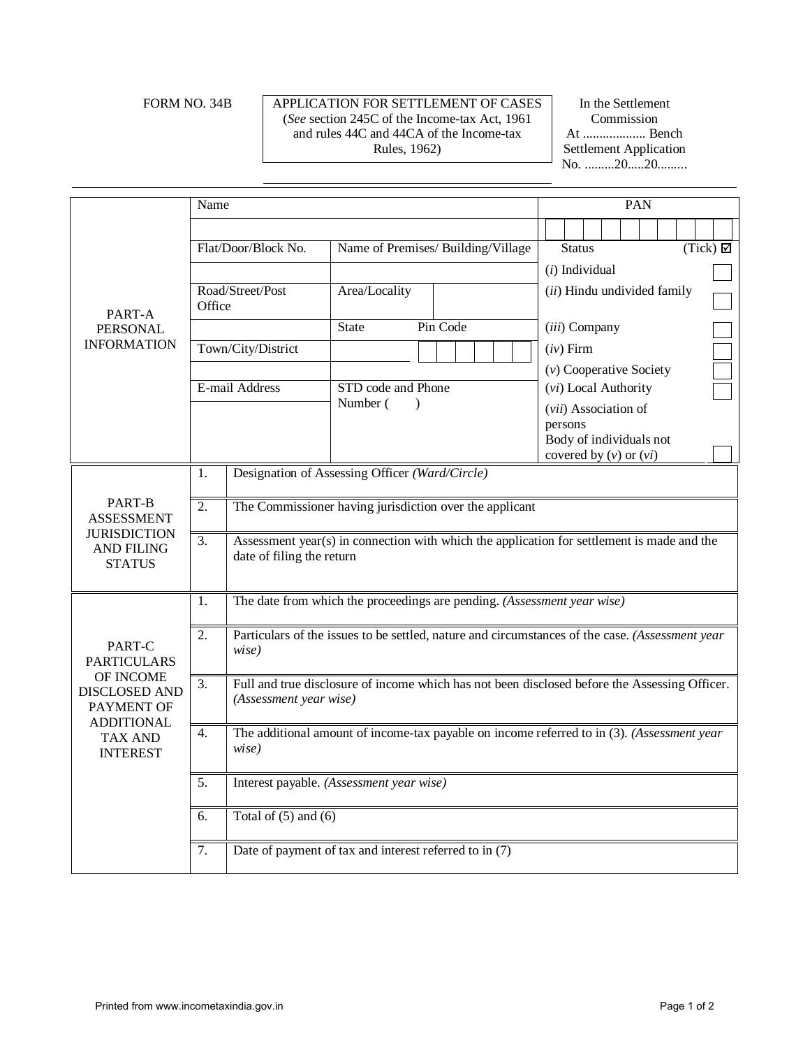### FORM NO. 34B APPLICATION FOR SETTLEMENT OF CASES (*See* section 245C of the Income-tax Act, 1961 and rules 44C and 44CA of the Income-tax Rules, 1962)

In the Settlement Commission At ................... Bench Settlement Application No. .........20.....20.........

|                                                                                                                                    | Name                                                                                                                          |                                                                                                                         |                                    |          |             |  | PAN                                |                  |  |                            |  |  |  |  |  |
|------------------------------------------------------------------------------------------------------------------------------------|-------------------------------------------------------------------------------------------------------------------------------|-------------------------------------------------------------------------------------------------------------------------|------------------------------------|----------|-------------|--|------------------------------------|------------------|--|----------------------------|--|--|--|--|--|
| PART-A<br><b>PERSONAL</b><br><b>INFORMATION</b>                                                                                    |                                                                                                                               |                                                                                                                         |                                    |          |             |  |                                    |                  |  |                            |  |  |  |  |  |
|                                                                                                                                    |                                                                                                                               | Flat/Door/Block No.                                                                                                     | Name of Premises/ Building/Village |          |             |  | (Tick)<br><b>Status</b>            |                  |  |                            |  |  |  |  |  |
|                                                                                                                                    |                                                                                                                               |                                                                                                                         |                                    |          |             |  |                                    | $(i)$ Individual |  |                            |  |  |  |  |  |
|                                                                                                                                    | Road/Street/Post<br>Office                                                                                                    |                                                                                                                         | Area/Locality                      |          |             |  | (ii) Hindu undivided family        |                  |  |                            |  |  |  |  |  |
|                                                                                                                                    |                                                                                                                               |                                                                                                                         | <b>State</b>                       | Pin Code |             |  |                                    | (iii) Company    |  |                            |  |  |  |  |  |
|                                                                                                                                    | Town/City/District                                                                                                            |                                                                                                                         |                                    |          | $(iv)$ Firm |  |                                    |                  |  |                            |  |  |  |  |  |
|                                                                                                                                    |                                                                                                                               |                                                                                                                         |                                    |          |             |  | $(v)$ Cooperative Society          |                  |  |                            |  |  |  |  |  |
|                                                                                                                                    | E-mail Address                                                                                                                |                                                                                                                         | STD code and Phone                 |          |             |  | (vi) Local Authority               |                  |  |                            |  |  |  |  |  |
|                                                                                                                                    |                                                                                                                               | Number (<br>$\lambda$                                                                                                   |                                    |          |             |  | (vii) Association of               |                  |  |                            |  |  |  |  |  |
|                                                                                                                                    |                                                                                                                               |                                                                                                                         |                                    |          |             |  | persons<br>Body of individuals not |                  |  |                            |  |  |  |  |  |
|                                                                                                                                    |                                                                                                                               |                                                                                                                         |                                    |          |             |  |                                    |                  |  | covered by $(v)$ or $(vi)$ |  |  |  |  |  |
|                                                                                                                                    | Designation of Assessing Officer (Ward/Circle)<br>1.                                                                          |                                                                                                                         |                                    |          |             |  |                                    |                  |  |                            |  |  |  |  |  |
| PART-B<br><b>ASSESSMENT</b><br><b>JURISDICTION</b><br><b>AND FILING</b><br><b>STATUS</b>                                           | 2.                                                                                                                            | The Commissioner having jurisdiction over the applicant                                                                 |                                    |          |             |  |                                    |                  |  |                            |  |  |  |  |  |
|                                                                                                                                    | 3.                                                                                                                            | Assessment year(s) in connection with which the application for settlement is made and the<br>date of filing the return |                                    |          |             |  |                                    |                  |  |                            |  |  |  |  |  |
| PART-C<br><b>PARTICULARS</b><br>OF INCOME<br>DISCLOSED AND<br>PAYMENT OF<br><b>ADDITIONAL</b><br><b>TAX AND</b><br><b>INTEREST</b> | 1.                                                                                                                            | The date from which the proceedings are pending. (Assessment year wise)                                                 |                                    |          |             |  |                                    |                  |  |                            |  |  |  |  |  |
|                                                                                                                                    | 2.                                                                                                                            | Particulars of the issues to be settled, nature and circumstances of the case. (Assessment year<br>wise)                |                                    |          |             |  |                                    |                  |  |                            |  |  |  |  |  |
|                                                                                                                                    | Full and true disclosure of income which has not been disclosed before the Assessing Officer.<br>3.<br>(Assessment year wise) |                                                                                                                         |                                    |          |             |  |                                    |                  |  |                            |  |  |  |  |  |
|                                                                                                                                    | $\overline{4}$ .                                                                                                              | The additional amount of income-tax payable on income referred to in (3). (Assessment year<br>wise)                     |                                    |          |             |  |                                    |                  |  |                            |  |  |  |  |  |
|                                                                                                                                    | $\overline{5}$ .                                                                                                              | Interest payable. (Assessment year wise)                                                                                |                                    |          |             |  |                                    |                  |  |                            |  |  |  |  |  |
|                                                                                                                                    | 6.                                                                                                                            | Total of $(5)$ and $(6)$                                                                                                |                                    |          |             |  |                                    |                  |  |                            |  |  |  |  |  |
|                                                                                                                                    | $\overline{7}$ .                                                                                                              | Date of payment of tax and interest referred to in (7)                                                                  |                                    |          |             |  |                                    |                  |  |                            |  |  |  |  |  |